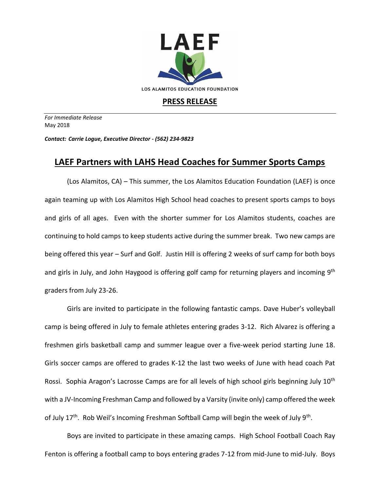

## **PRESS RELEASE**

*For Immediate Release*  May 2018

*Contact: Carrie Logue, Executive Director - (562) 234-9823*

## **LAEF Partners with LAHS Head Coaches for Summer Sports Camps**

(Los Alamitos, CA) – This summer, the Los Alamitos Education Foundation (LAEF) is once again teaming up with Los Alamitos High School head coaches to present sports camps to boys and girls of all ages. Even with the shorter summer for Los Alamitos students, coaches are continuing to hold camps to keep students active during the summer break. Two new camps are being offered this year – Surf and Golf. Justin Hill is offering 2 weeks of surf camp for both boys and girls in July, and John Haygood is offering golf camp for returning players and incoming 9<sup>th</sup> graders from July 23-26.

Girls are invited to participate in the following fantastic camps. Dave Huber's volleyball camp is being offered in July to female athletes entering grades 3-12. Rich Alvarez is offering a freshmen girls basketball camp and summer league over a five-week period starting June 18. Girls soccer camps are offered to grades K-12 the last two weeks of June with head coach Pat Rossi. Sophia Aragon's Lacrosse Camps are for all levels of high school girls beginning July 10<sup>th</sup> with a JV-Incoming Freshman Camp and followed by a Varsity (invite only) camp offered the week of July 17<sup>th</sup>. Rob Weil's Incoming Freshman Softball Camp will begin the week of July 9<sup>th</sup>.

Boys are invited to participate in these amazing camps. High School Football Coach Ray Fenton is offering a football camp to boys entering grades 7-12 from mid-June to mid-July. Boys